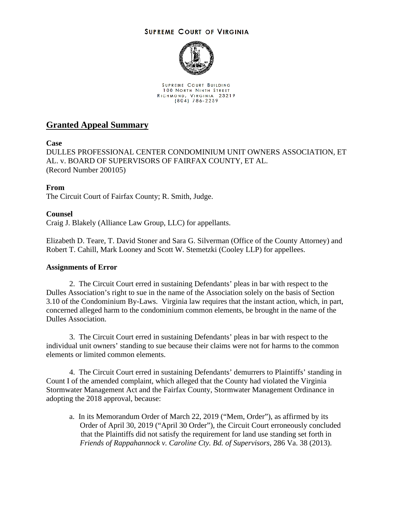### **SUPREME COURT OF VIRGINIA**



SUPREME COURT BUILDING **100 NORTH NINTH STREET** RICHMOND, VIRGINIA 23219<br>(804) 786-2259

# **Granted Appeal Summary**

### **Case**

DULLES PROFESSIONAL CENTER CONDOMINIUM UNIT OWNERS ASSOCIATION, ET AL. v. BOARD OF SUPERVISORS OF FAIRFAX COUNTY, ET AL. (Record Number 200105)

## **From**

The Circuit Court of Fairfax County; R. Smith, Judge.

### **Counsel**

Craig J. Blakely (Alliance Law Group, LLC) for appellants.

Elizabeth D. Teare, T. David Stoner and Sara G. Silverman (Office of the County Attorney) and Robert T. Cahill, Mark Looney and Scott W. Stemetzki (Cooley LLP) for appellees.

#### **Assignments of Error**

2. The Circuit Court erred in sustaining Defendants' pleas in bar with respect to the Dulles Association's right to sue in the name of the Association solely on the basis of Section 3.10 of the Condominium By-Laws. Virginia law requires that the instant action, which, in part, concerned alleged harm to the condominium common elements, be brought in the name of the Dulles Association.

3. The Circuit Court erred in sustaining Defendants' pleas in bar with respect to the individual unit owners' standing to sue because their claims were not for harms to the common elements or limited common elements.

4. The Circuit Court erred in sustaining Defendants' demurrers to Plaintiffs' standing in Count I of the amended complaint, which alleged that the County had violated the Virginia Stormwater Management Act and the Fairfax County, Stormwater Management Ordinance in adopting the 2018 approval, because:

a. In its Memorandum Order of March 22, 2019 ("Mem, Order"), as affirmed by its Order of April 30, 2019 ("April 30 Order"), the Circuit Court erroneously concluded that the Plaintiffs did not satisfy the requirement for land use standing set forth in *Friends of Rappahannock v. Caroline Cty. Bd. of Supervisors,* 286 Va. 38 (2013).